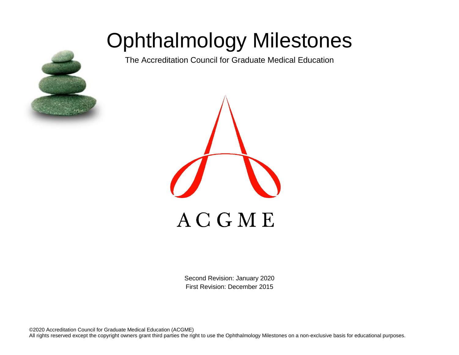# Ophthalmology Milestones

The Accreditation Council for Graduate Medical Education





Second Revision: January 2020 First Revision: December 2015

©2020 Accreditation Council for Graduate Medical Education (ACGME) All rights reserved except the copyright owners grant third parties the right to use the Ophthalmology Milestones on a non-exclusive basis for educational purposes.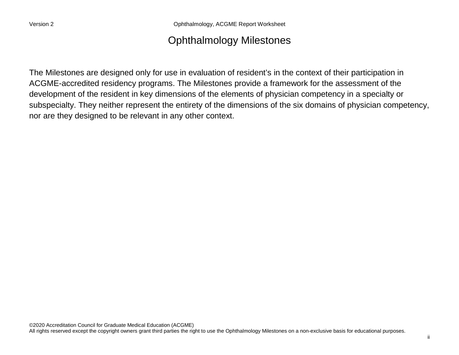Version 2 Ophthalmology, ACGME Report Worksheet

## Ophthalmology Milestones

The Milestones are designed only for use in evaluation of resident's in the context of their participation in ACGME-accredited residency programs. The Milestones provide a framework for the assessment of the development of the resident in key dimensions of the elements of physician competency in a specialty or subspecialty. They neither represent the entirety of the dimensions of the six domains of physician competency, nor are they designed to be relevant in any other context.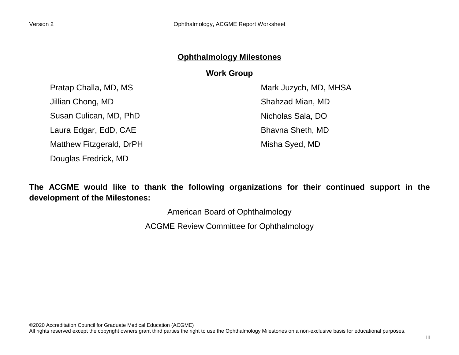### **Ophthalmology Milestones**

#### **Work Group**

Pratap Challa, MD, MS Jillian Chong, MD Susan Culican, MD, PhD Laura Edgar, EdD, CAE Matthew Fitzgerald, DrPH

Douglas Fredrick, MD

Mark Juzych, MD, MHSA Shahzad Mian, MD Nicholas Sala, DO Bhavna Sheth, MD Misha Syed, MD

**The ACGME would like to thank the following organizations for their continued support in the development of the Milestones:**

American Board of Ophthalmology

ACGME Review Committee for Ophthalmology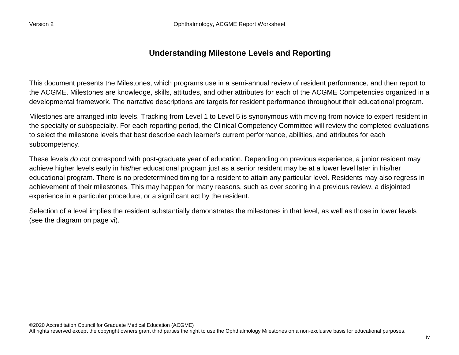#### **Understanding Milestone Levels and Reporting**

This document presents the Milestones, which programs use in a semi-annual review of resident performance, and then report to the ACGME. Milestones are knowledge, skills, attitudes, and other attributes for each of the ACGME Competencies organized in a developmental framework. The narrative descriptions are targets for resident performance throughout their educational program.

Milestones are arranged into levels. Tracking from Level 1 to Level 5 is synonymous with moving from novice to expert resident in the specialty or subspecialty. For each reporting period, the Clinical Competency Committee will review the completed evaluations to select the milestone levels that best describe each learner's current performance, abilities, and attributes for each subcompetency.

These levels *do not* correspond with post-graduate year of education. Depending on previous experience, a junior resident may achieve higher levels early in his/her educational program just as a senior resident may be at a lower level later in his/her educational program. There is no predetermined timing for a resident to attain any particular level. Residents may also regress in achievement of their milestones. This may happen for many reasons, such as over scoring in a previous review, a disjointed experience in a particular procedure, or a significant act by the resident.

Selection of a level implies the resident substantially demonstrates the milestones in that level, as well as those in lower levels (see the diagram on page vi).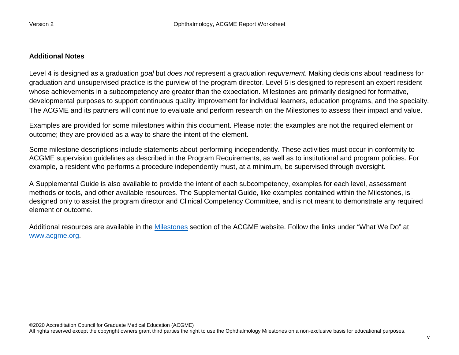#### **Additional Notes**

Level 4 is designed as a graduation *goal* but *does not* represent a graduation *requirement*. Making decisions about readiness for graduation and unsupervised practice is the purview of the program director. Level 5 is designed to represent an expert resident whose achievements in a subcompetency are greater than the expectation. Milestones are primarily designed for formative, developmental purposes to support continuous quality improvement for individual learners, education programs, and the specialty. The ACGME and its partners will continue to evaluate and perform research on the Milestones to assess their impact and value.

Examples are provided for some milestones within this document. Please note: the examples are not the required element or outcome; they are provided as a way to share the intent of the element.

Some milestone descriptions include statements about performing independently. These activities must occur in conformity to ACGME supervision guidelines as described in the Program Requirements, as well as to institutional and program policies. For example, a resident who performs a procedure independently must, at a minimum, be supervised through oversight.

A Supplemental Guide is also available to provide the intent of each subcompetency, examples for each level, assessment methods or tools, and other available resources. The Supplemental Guide, like examples contained within the Milestones, is designed only to assist the program director and Clinical Competency Committee, and is not meant to demonstrate any required element or outcome.

Additional resources are available in the [Milestones](http://www.acgme.org/What-We-Do/Accreditation/Milestones/Overview) section of the ACGME website. Follow the links under "What We Do" at [www.acgme.org.](http://www.acgme.org/)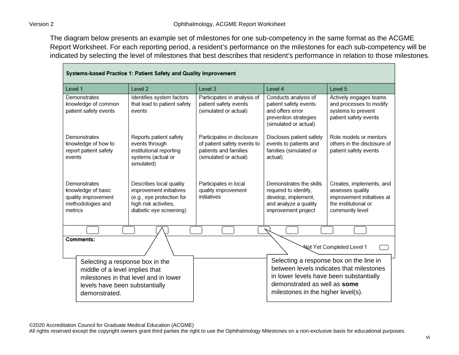The diagram below presents an example set of milestones for one sub-competency in the same format as the ACGME Report Worksheet. For each reporting period, a resident's performance on the milestones for each sub-competency will be indicated by selecting the level of milestones that best describes that resident's performance in relation to those milestones.

| Systems-based Practice 1: Patient Safety and Quality Improvement                                                     |                                                                                                                                     |                                                                                                             |                                                                                                                                                          |                                                                                                                       |  |
|----------------------------------------------------------------------------------------------------------------------|-------------------------------------------------------------------------------------------------------------------------------------|-------------------------------------------------------------------------------------------------------------|----------------------------------------------------------------------------------------------------------------------------------------------------------|-----------------------------------------------------------------------------------------------------------------------|--|
| Level 1                                                                                                              | Level 2                                                                                                                             | Level 3                                                                                                     | Level 4                                                                                                                                                  | Level 5                                                                                                               |  |
| Demonstrates<br>knowledge of common<br>patient safety events                                                         | Identifies system factors<br>that lead to patient safety<br>events                                                                  | Participates in analysis of<br>patient safety events<br>(simulated or actual)                               | Conducts analysis of<br>patient safety events<br>and offers error<br>prevention strategies<br>(simulated or actual)                                      | Actively engages teams<br>and processes to modify<br>systems to prevent<br>patient safety events                      |  |
| Demonstrates<br>knowledge of how to<br>report patient safety<br>events                                               | Reports patient safety<br>events through<br>institutional reporting<br>systems (actual or<br>simulated)                             | Participates in disclosure<br>of patient safety events to<br>patients and families<br>(simulated or actual) | Discloses patient safety<br>events to patients and<br>families (simulated or<br>actual)                                                                  | Role models or mentors<br>others in the disclosure of<br>patient safety events                                        |  |
| Demonstrates<br>knowledge of basic<br>quality improvement<br>methodologies and<br>metrics                            | Describes local quality<br>improvement initiatives<br>(e.g., eye protection for<br>high risk activities,<br>diabetic eye screening) | Participates in local<br>quality improvement<br>initiatives                                                 | Demonstrates the skills<br>required to identify,<br>develop, implement,<br>and analyze a quality<br>improvement project                                  | Creates, implements, and<br>assesses quality<br>improvement initiatives at<br>the institutional or<br>community level |  |
|                                                                                                                      |                                                                                                                                     |                                                                                                             |                                                                                                                                                          |                                                                                                                       |  |
| Comments:<br>Not Yet Completed Level 1                                                                               |                                                                                                                                     |                                                                                                             |                                                                                                                                                          |                                                                                                                       |  |
| Selecting a response box in the<br>middle of a level implies that<br>levels have been substantially<br>demonstrated. | milestones in that level and in lower                                                                                               |                                                                                                             | Selecting a response box on the line in<br>in lower levels have been substantially<br>demonstrated as well as some<br>milestones in the higher level(s). | between levels indicates that milestones                                                                              |  |

©2020 Accreditation Council for Graduate Medical Education (ACGME)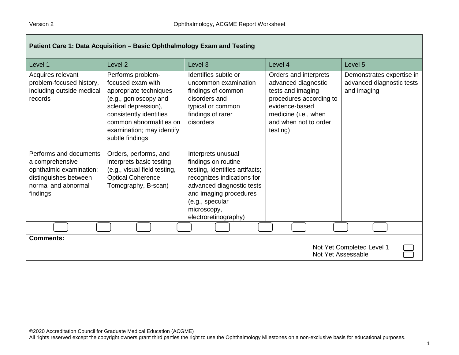| Patient Care 1: Data Acquisition - Basic Ophthalmology Exam and Testing                                                          |                                                                                                                                                                                                                         |                                                                                                                                                                                                                            |                                                                                                                                                                             |                                                                       |
|----------------------------------------------------------------------------------------------------------------------------------|-------------------------------------------------------------------------------------------------------------------------------------------------------------------------------------------------------------------------|----------------------------------------------------------------------------------------------------------------------------------------------------------------------------------------------------------------------------|-----------------------------------------------------------------------------------------------------------------------------------------------------------------------------|-----------------------------------------------------------------------|
| Level 1                                                                                                                          | Level <sub>2</sub>                                                                                                                                                                                                      | Level <sub>3</sub>                                                                                                                                                                                                         | Level 4                                                                                                                                                                     | Level 5                                                               |
| Acquires relevant<br>problem-focused history,<br>including outside medical<br>records                                            | Performs problem-<br>focused exam with<br>appropriate techniques<br>(e.g., gonioscopy and<br>scleral depression),<br>consistently identifies<br>common abnormalities on<br>examination; may identify<br>subtle findings | Identifies subtle or<br>uncommon examination<br>findings of common<br>disorders and<br>typical or common<br>findings of rarer<br>disorders                                                                                 | Orders and interprets<br>advanced diagnostic<br>tests and imaging<br>procedures according to<br>evidence-based<br>medicine (i.e., when<br>and when not to order<br>testing) | Demonstrates expertise in<br>advanced diagnostic tests<br>and imaging |
| Performs and documents<br>a comprehensive<br>ophthalmic examination;<br>distinguishes between<br>normal and abnormal<br>findings | Orders, performs, and<br>interprets basic testing<br>(e.g., visual field testing,<br><b>Optical Coherence</b><br>Tomography, B-scan)                                                                                    | Interprets unusual<br>findings on routine<br>testing, identifies artifacts;<br>recognizes indications for<br>advanced diagnostic tests<br>and imaging procedures<br>(e.g., specular<br>microscopy,<br>electroretinography) |                                                                                                                                                                             |                                                                       |
|                                                                                                                                  |                                                                                                                                                                                                                         |                                                                                                                                                                                                                            |                                                                                                                                                                             |                                                                       |
| <b>Comments:</b><br>Not Yet Completed Level 1<br>Not Yet Assessable                                                              |                                                                                                                                                                                                                         |                                                                                                                                                                                                                            |                                                                                                                                                                             |                                                                       |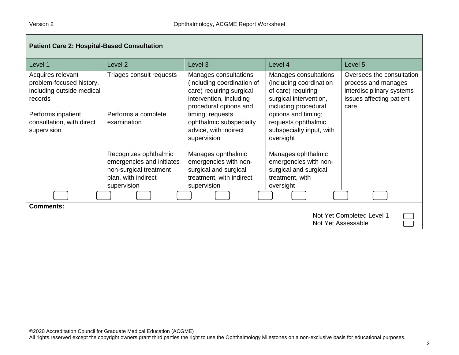| <b>Patient Care 2: Hospital-Based Consultation</b>                                                                                                      |                                                                                                                    |                                                                                                                                                                                                                             |                                                                                                                                                                                                                 |                                                                                                                   |
|---------------------------------------------------------------------------------------------------------------------------------------------------------|--------------------------------------------------------------------------------------------------------------------|-----------------------------------------------------------------------------------------------------------------------------------------------------------------------------------------------------------------------------|-----------------------------------------------------------------------------------------------------------------------------------------------------------------------------------------------------------------|-------------------------------------------------------------------------------------------------------------------|
| Level 1                                                                                                                                                 | Level <sub>2</sub>                                                                                                 | Level 3                                                                                                                                                                                                                     | Level 4                                                                                                                                                                                                         | Level 5                                                                                                           |
| Acquires relevant<br>problem-focused history,<br>including outside medical<br>records<br>Performs inpatient<br>consultation, with direct<br>supervision | Triages consult requests<br>Performs a complete<br>examination                                                     | Manages consultations<br>(including coordination of<br>care) requiring surgical<br>intervention, including<br>procedural options and<br>timing; requests<br>ophthalmic subspecialty<br>advice, with indirect<br>supervision | Manages consultations<br>(including coordination<br>of care) requiring<br>surgical intervention,<br>including procedural<br>options and timing;<br>requests ophthalmic<br>subspecialty input, with<br>oversight | Oversees the consultation<br>process and manages<br>interdisciplinary systems<br>issues affecting patient<br>care |
|                                                                                                                                                         | Recognizes ophthalmic<br>emergencies and initiates<br>non-surgical treatment<br>plan, with indirect<br>supervision | Manages ophthalmic<br>emergencies with non-<br>surgical and surgical<br>treatment, with indirect<br>supervision                                                                                                             | Manages ophthalmic<br>emergencies with non-<br>surgical and surgical<br>treatment, with<br>oversight                                                                                                            |                                                                                                                   |
|                                                                                                                                                         |                                                                                                                    |                                                                                                                                                                                                                             |                                                                                                                                                                                                                 |                                                                                                                   |
| <b>Comments:</b><br>Not Yet Completed Level 1<br>Not Yet Assessable                                                                                     |                                                                                                                    |                                                                                                                                                                                                                             |                                                                                                                                                                                                                 |                                                                                                                   |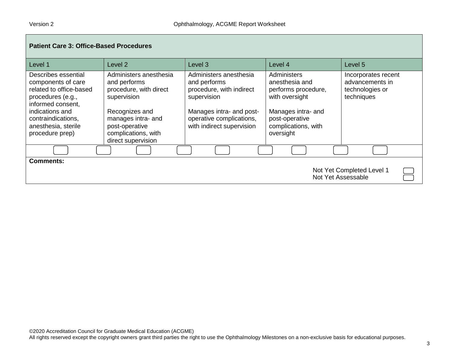| <b>Patient Care 3: Office-Based Procedures</b>                                                                                                                                                    |                                                                                                                                                                                        |                                                                                                                                                                        |                                                                                                                                                    |                                                                         |
|---------------------------------------------------------------------------------------------------------------------------------------------------------------------------------------------------|----------------------------------------------------------------------------------------------------------------------------------------------------------------------------------------|------------------------------------------------------------------------------------------------------------------------------------------------------------------------|----------------------------------------------------------------------------------------------------------------------------------------------------|-------------------------------------------------------------------------|
| Level 1                                                                                                                                                                                           | Level 2                                                                                                                                                                                | Level <sub>3</sub>                                                                                                                                                     | Level 4                                                                                                                                            | Level 5                                                                 |
| Describes essential<br>components of care<br>related to office-based<br>procedures (e.g.,<br>informed consent.<br>indications and<br>contraindications,<br>anesthesia, sterile<br>procedure prep) | Administers anesthesia<br>and performs<br>procedure, with direct<br>supervision<br>Recognizes and<br>manages intra- and<br>post-operative<br>complications, with<br>direct supervision | Administers anesthesia<br>and performs<br>procedure, with indirect<br>supervision<br>Manages intra- and post-<br>operative complications,<br>with indirect supervision | Administers<br>anesthesia and<br>performs procedure,<br>with oversight<br>Manages intra- and<br>post-operative<br>complications, with<br>oversight | Incorporates recent<br>advancements in<br>technologies or<br>techniques |
|                                                                                                                                                                                                   |                                                                                                                                                                                        |                                                                                                                                                                        |                                                                                                                                                    |                                                                         |
| <b>Comments:</b><br>Not Yet Completed Level 1<br>Not Yet Assessable                                                                                                                               |                                                                                                                                                                                        |                                                                                                                                                                        |                                                                                                                                                    |                                                                         |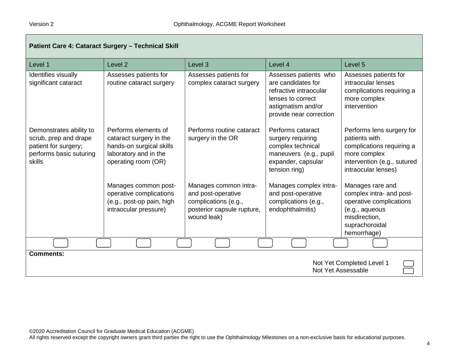| Patient Care 4: Cataract Surgery - Technical Skill                                                            |                                                                                                                             |                                                                                                                  |                                                                                                                                             |                                                                                                                                               |
|---------------------------------------------------------------------------------------------------------------|-----------------------------------------------------------------------------------------------------------------------------|------------------------------------------------------------------------------------------------------------------|---------------------------------------------------------------------------------------------------------------------------------------------|-----------------------------------------------------------------------------------------------------------------------------------------------|
| Level 1                                                                                                       | Level <sub>2</sub>                                                                                                          | Level 3                                                                                                          | Level 4                                                                                                                                     | Level 5                                                                                                                                       |
| Identifies visually<br>significant cataract                                                                   | Assesses patients for<br>routine cataract surgery                                                                           | Assesses patients for<br>complex cataract surgery                                                                | Assesses patients who<br>are candidates for<br>refractive intraocular<br>lenses to correct<br>astigmatism and/or<br>provide near correction | Assesses patients for<br>intraocular lenses<br>complications requiring a<br>more complex<br>intervention                                      |
| Demonstrates ability to<br>scrub, prep and drape<br>patient for surgery;<br>performs basic suturing<br>skills | Performs elements of<br>cataract surgery in the<br>hands-on surgical skills<br>laboratory and in the<br>operating room (OR) | Performs routine cataract<br>surgery in the OR                                                                   | Performs cataract<br>surgery requiring<br>complex technical<br>maneuvers (e.g., pupil<br>expander, capsular<br>tension ring)                | Performs lens surgery for<br>patients with<br>complications requiring a<br>more complex<br>intervention (e.g., sutured<br>intraocular lenses) |
|                                                                                                               | Manages common post-<br>operative complications<br>(e.g., post-op pain, high<br>intraocular pressure)                       | Manages common intra-<br>and post-operative<br>complications (e.g.,<br>posterior capsule rupture,<br>wound leak) | Manages complex intra-<br>and post-operative<br>complications (e.g.,<br>endophthalmitis)                                                    | Manages rare and<br>complex intra- and post-<br>operative complications<br>(e.g., aqueous<br>misdirection,<br>suprachoroidal<br>hemorrhage)   |
|                                                                                                               |                                                                                                                             |                                                                                                                  |                                                                                                                                             |                                                                                                                                               |
| <b>Comments:</b><br>Not Yet Completed Level 1<br>Not Yet Assessable                                           |                                                                                                                             |                                                                                                                  |                                                                                                                                             |                                                                                                                                               |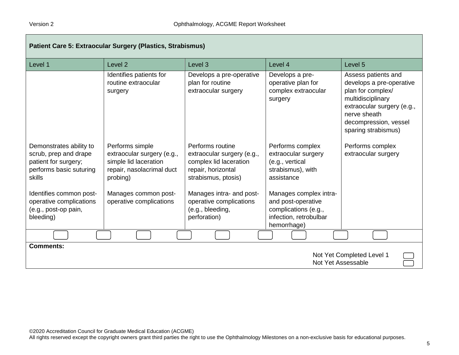| Patient Care 5: Extraocular Surgery (Plastics, Strabismus)                                                    |                                                                                                                 |                                                                                                                       |                                                                                                               |                                                                                                                                                                                         |
|---------------------------------------------------------------------------------------------------------------|-----------------------------------------------------------------------------------------------------------------|-----------------------------------------------------------------------------------------------------------------------|---------------------------------------------------------------------------------------------------------------|-----------------------------------------------------------------------------------------------------------------------------------------------------------------------------------------|
| Level 1                                                                                                       | Level <sub>2</sub>                                                                                              | Level <sub>3</sub>                                                                                                    | Level 4                                                                                                       | Level 5                                                                                                                                                                                 |
|                                                                                                               | Identifies patients for<br>routine extraocular<br>surgery                                                       | Develops a pre-operative<br>plan for routine<br>extraocular surgery                                                   | Develops a pre-<br>operative plan for<br>complex extraocular<br>surgery                                       | Assess patients and<br>develops a pre-operative<br>plan for complex/<br>multidisciplinary<br>extraocular surgery (e.g.,<br>nerve sheath<br>decompression, vessel<br>sparing strabismus) |
| Demonstrates ability to<br>scrub, prep and drape<br>patient for surgery;<br>performs basic suturing<br>skills | Performs simple<br>extraocular surgery (e.g.,<br>simple lid laceration<br>repair, nasolacrimal duct<br>probing) | Performs routine<br>extraocular surgery (e.g.,<br>complex lid laceration<br>repair, horizontal<br>strabismus, ptosis) | Performs complex<br>extraocular surgery<br>(e.g., vertical<br>strabismus), with<br>assistance                 | Performs complex<br>extraocular surgery                                                                                                                                                 |
| Identifies common post-<br>operative complications<br>(e.g., post-op pain,<br>bleeding)                       | Manages common post-<br>operative complications                                                                 | Manages intra- and post-<br>operative complications<br>(e.g., bleeding,<br>perforation)                               | Manages complex intra-<br>and post-operative<br>complications (e.g.,<br>infection, retrobulbar<br>hemorrhage) |                                                                                                                                                                                         |
|                                                                                                               |                                                                                                                 |                                                                                                                       |                                                                                                               |                                                                                                                                                                                         |
| <b>Comments:</b><br>Not Yet Completed Level 1<br>Not Yet Assessable                                           |                                                                                                                 |                                                                                                                       |                                                                                                               |                                                                                                                                                                                         |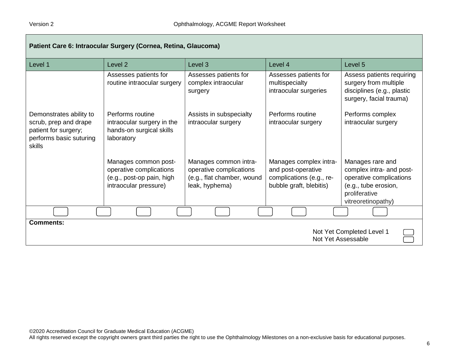| Patient Care 6: Intraocular Surgery (Cornea, Retina, Glaucoma)                                                |                                                                                                       |                                                                                                  |                                                                                                     |                                                                                                                                        |
|---------------------------------------------------------------------------------------------------------------|-------------------------------------------------------------------------------------------------------|--------------------------------------------------------------------------------------------------|-----------------------------------------------------------------------------------------------------|----------------------------------------------------------------------------------------------------------------------------------------|
| Level 1                                                                                                       | Level <sub>2</sub>                                                                                    | Level <sub>3</sub>                                                                               | Level 4                                                                                             | Level 5                                                                                                                                |
|                                                                                                               | Assesses patients for<br>routine intraocular surgery                                                  | Assesses patients for<br>complex intraocular<br>surgery                                          | Assesses patients for<br>multispecialty<br>intraocular surgeries                                    | Assess patients requiring<br>surgery from multiple<br>disciplines (e.g., plastic<br>surgery, facial trauma)                            |
| Demonstrates ability to<br>scrub, prep and drape<br>patient for surgery;<br>performs basic suturing<br>skills | Performs routine<br>intraocular surgery in the<br>hands-on surgical skills<br>laboratory              | Assists in subspecialty<br>intraocular surgery                                                   | Performs routine<br>intraocular surgery                                                             | Performs complex<br>intraocular surgery                                                                                                |
|                                                                                                               | Manages common post-<br>operative complications<br>(e.g., post-op pain, high<br>intraocular pressure) | Manages common intra-<br>operative complications<br>(e.g., flat chamber, wound<br>leak, hyphema) | Manages complex intra-<br>and post-operative<br>complications (e.g., re-<br>bubble graft, blebitis) | Manages rare and<br>complex intra- and post-<br>operative complications<br>(e.g., tube erosion,<br>proliferative<br>vitreoretinopathy) |
|                                                                                                               |                                                                                                       |                                                                                                  |                                                                                                     |                                                                                                                                        |
| <b>Comments:</b><br>Not Yet Completed Level 1<br>Not Yet Assessable                                           |                                                                                                       |                                                                                                  |                                                                                                     |                                                                                                                                        |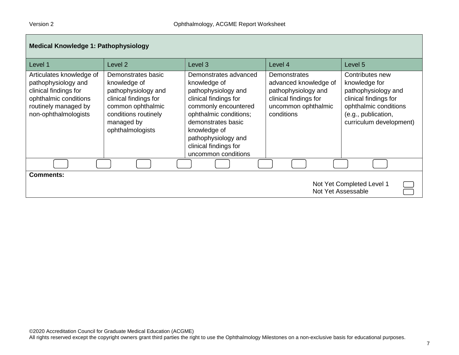| <b>Medical Knowledge 1: Pathophysiology</b>                                                                                                       |                                                                                                                                                                   |                                                                                                                                                                                                                                                      |                                                                                                                                   |                                                                                                                                                             |
|---------------------------------------------------------------------------------------------------------------------------------------------------|-------------------------------------------------------------------------------------------------------------------------------------------------------------------|------------------------------------------------------------------------------------------------------------------------------------------------------------------------------------------------------------------------------------------------------|-----------------------------------------------------------------------------------------------------------------------------------|-------------------------------------------------------------------------------------------------------------------------------------------------------------|
| Level 1                                                                                                                                           | Level 2                                                                                                                                                           | Level 3                                                                                                                                                                                                                                              | Level 4                                                                                                                           | Level 5                                                                                                                                                     |
| Articulates knowledge of<br>pathophysiology and<br>clinical findings for<br>ophthalmic conditions<br>routinely managed by<br>non-ophthalmologists | Demonstrates basic<br>knowledge of<br>pathophysiology and<br>clinical findings for<br>common ophthalmic<br>conditions routinely<br>managed by<br>ophthalmologists | Demonstrates advanced<br>knowledge of<br>pathophysiology and<br>clinical findings for<br>commonly encountered<br>ophthalmic conditions;<br>demonstrates basic<br>knowledge of<br>pathophysiology and<br>clinical findings for<br>uncommon conditions | <b>Demonstrates</b><br>advanced knowledge of<br>pathophysiology and<br>clinical findings for<br>uncommon ophthalmic<br>conditions | Contributes new<br>knowledge for<br>pathophysiology and<br>clinical findings for<br>ophthalmic conditions<br>(e.g., publication,<br>curriculum development) |
|                                                                                                                                                   |                                                                                                                                                                   |                                                                                                                                                                                                                                                      |                                                                                                                                   |                                                                                                                                                             |
| <b>Comments:</b><br>Not Yet Completed Level 1<br>Not Yet Assessable                                                                               |                                                                                                                                                                   |                                                                                                                                                                                                                                                      |                                                                                                                                   |                                                                                                                                                             |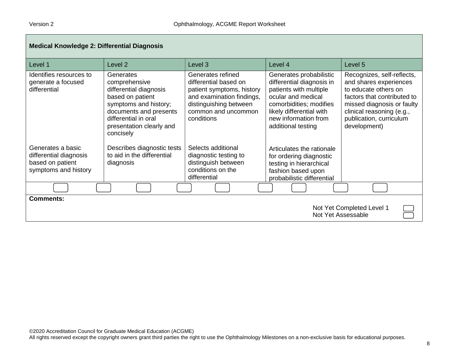| <b>Medical Knowledge 2: Differential Diagnosis</b>                                      |                                                                                                                                                                                              |                                                                                                                                                                     |                                                                                                                                                                                                           |                                                                                                                                                                                                                   |  |
|-----------------------------------------------------------------------------------------|----------------------------------------------------------------------------------------------------------------------------------------------------------------------------------------------|---------------------------------------------------------------------------------------------------------------------------------------------------------------------|-----------------------------------------------------------------------------------------------------------------------------------------------------------------------------------------------------------|-------------------------------------------------------------------------------------------------------------------------------------------------------------------------------------------------------------------|--|
| Level 1                                                                                 | Level <sub>2</sub>                                                                                                                                                                           | Level 3                                                                                                                                                             | Level 4                                                                                                                                                                                                   | Level 5                                                                                                                                                                                                           |  |
| Identifies resources to<br>generate a focused<br>differential                           | Generates<br>comprehensive<br>differential diagnosis<br>based on patient<br>symptoms and history;<br>documents and presents<br>differential in oral<br>presentation clearly and<br>concisely | Generates refined<br>differential based on<br>patient symptoms, history<br>and examination findings,<br>distinguishing between<br>common and uncommon<br>conditions | Generates probabilistic<br>differential diagnosis in<br>patients with multiple<br>ocular and medical<br>comorbidities; modifies<br>likely differential with<br>new information from<br>additional testing | Recognizes, self-reflects,<br>and shares experiences<br>to educate others on<br>factors that contributed to<br>missed diagnosis or faulty<br>clinical reasoning (e.g.,<br>publication, curriculum<br>development) |  |
| Generates a basic<br>differential diagnosis<br>based on patient<br>symptoms and history | Describes diagnostic tests<br>to aid in the differential<br>diagnosis                                                                                                                        | Selects additional<br>diagnostic testing to<br>distinguish between<br>conditions on the<br>differential                                                             | Articulates the rationale<br>for ordering diagnostic<br>testing in hierarchical<br>fashion based upon<br>probabilistic differential                                                                       |                                                                                                                                                                                                                   |  |
|                                                                                         |                                                                                                                                                                                              |                                                                                                                                                                     |                                                                                                                                                                                                           |                                                                                                                                                                                                                   |  |
| <b>Comments:</b><br>Not Yet Completed Level 1<br>Not Yet Assessable                     |                                                                                                                                                                                              |                                                                                                                                                                     |                                                                                                                                                                                                           |                                                                                                                                                                                                                   |  |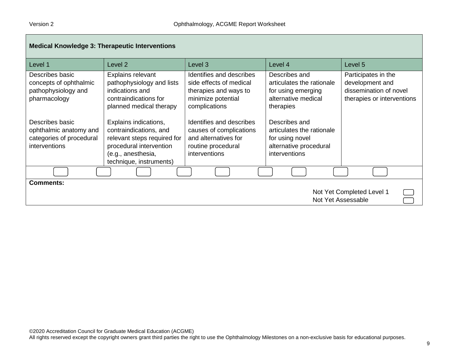| <b>Medical Knowledge 3: Therapeutic Interventions</b>                                  |                                                                                                                                                            |                                                                                                                     |                                                                                                                 |                                                                                                |
|----------------------------------------------------------------------------------------|------------------------------------------------------------------------------------------------------------------------------------------------------------|---------------------------------------------------------------------------------------------------------------------|-----------------------------------------------------------------------------------------------------------------|------------------------------------------------------------------------------------------------|
| Level 1                                                                                | Level <sub>2</sub>                                                                                                                                         | Level 3                                                                                                             | Level 4                                                                                                         | Level 5                                                                                        |
| Describes basic<br>concepts of ophthalmic<br>pathophysiology and<br>pharmacology       | <b>Explains relevant</b><br>pathophysiology and lists<br>indications and<br>contraindications for<br>planned medical therapy                               | Identifies and describes<br>side effects of medical<br>therapies and ways to<br>minimize potential<br>complications | Describes and<br>articulates the rationale<br>for using emerging<br>alternative medical<br>therapies            | Participates in the<br>development and<br>dissemination of novel<br>therapies or interventions |
| Describes basic<br>ophthalmic anatomy and<br>categories of procedural<br>interventions | Explains indications,<br>contraindications, and<br>relevant steps required for<br>procedural intervention<br>(e.g., anesthesia,<br>technique, instruments) | Identifies and describes<br>causes of complications<br>and alternatives for<br>routine procedural<br>interventions  | Describes and<br>articulates the rationale<br>for using novel<br>alternative procedural<br><i>interventions</i> |                                                                                                |
|                                                                                        |                                                                                                                                                            |                                                                                                                     |                                                                                                                 |                                                                                                |
| <b>Comments:</b><br>Not Yet Completed Level 1<br>Not Yet Assessable                    |                                                                                                                                                            |                                                                                                                     |                                                                                                                 |                                                                                                |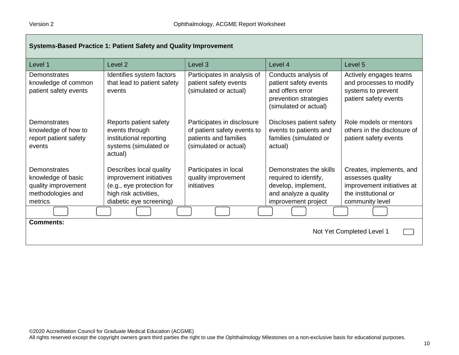| Systems-Based Practice 1: Patient Safety and Quality Improvement                          |                                                                                                                                     |                                                                                                             |                                                                                                                         |                                                                                                                       |
|-------------------------------------------------------------------------------------------|-------------------------------------------------------------------------------------------------------------------------------------|-------------------------------------------------------------------------------------------------------------|-------------------------------------------------------------------------------------------------------------------------|-----------------------------------------------------------------------------------------------------------------------|
| Level 1                                                                                   | Level 2                                                                                                                             | Level <sub>3</sub>                                                                                          | Level 4                                                                                                                 | Level <sub>5</sub>                                                                                                    |
| Demonstrates<br>knowledge of common<br>patient safety events                              | Identifies system factors<br>that lead to patient safety<br>events                                                                  | Participates in analysis of<br>patient safety events<br>(simulated or actual)                               | Conducts analysis of<br>patient safety events<br>and offers error<br>prevention strategies<br>(simulated or actual)     | Actively engages teams<br>and processes to modify<br>systems to prevent<br>patient safety events                      |
| Demonstrates<br>knowledge of how to<br>report patient safety<br>events                    | Reports patient safety<br>events through<br>institutional reporting<br>systems (simulated or<br>actual)                             | Participates in disclosure<br>of patient safety events to<br>patients and families<br>(simulated or actual) | Discloses patient safety<br>events to patients and<br>families (simulated or<br>actual)                                 | Role models or mentors<br>others in the disclosure of<br>patient safety events                                        |
| Demonstrates<br>knowledge of basic<br>quality improvement<br>methodologies and<br>metrics | Describes local quality<br>improvement initiatives<br>(e.g., eye protection for<br>high risk activities,<br>diabetic eye screening) | Participates in local<br>quality improvement<br>initiatives                                                 | Demonstrates the skills<br>required to identify,<br>develop, implement,<br>and analyze a quality<br>improvement project | Creates, implements, and<br>assesses quality<br>improvement initiatives at<br>the institutional or<br>community level |
|                                                                                           |                                                                                                                                     |                                                                                                             |                                                                                                                         |                                                                                                                       |
| <b>Comments:</b>                                                                          |                                                                                                                                     |                                                                                                             |                                                                                                                         | Not Yet Completed Level 1                                                                                             |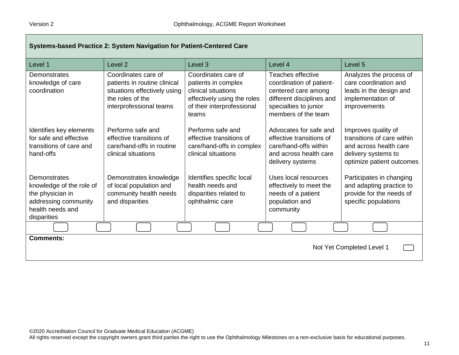| Systems-based Practice 2: System Navigation for Patient-Centered Care                                                   |                                                                                                                                    |                                                                                                                                         |                                                                                                                                                   |                                                                                                                                 |
|-------------------------------------------------------------------------------------------------------------------------|------------------------------------------------------------------------------------------------------------------------------------|-----------------------------------------------------------------------------------------------------------------------------------------|---------------------------------------------------------------------------------------------------------------------------------------------------|---------------------------------------------------------------------------------------------------------------------------------|
| Level 1                                                                                                                 | Level <sub>2</sub>                                                                                                                 | Level <sub>3</sub>                                                                                                                      | Level 4                                                                                                                                           | Level 5                                                                                                                         |
| Demonstrates<br>knowledge of care<br>coordination                                                                       | Coordinates care of<br>patients in routine clinical<br>situations effectively using<br>the roles of the<br>interprofessional teams | Coordinates care of<br>patients in complex<br>clinical situations<br>effectively using the roles<br>of their interprofessional<br>teams | Teaches effective<br>coordination of patient-<br>centered care among<br>different disciplines and<br>specialties to junior<br>members of the team | Analyzes the process of<br>care coordination and<br>leads in the design and<br>implementation of<br>improvements                |
| Identifies key elements<br>for safe and effective<br>transitions of care and<br>hand-offs                               | Performs safe and<br>effective transitions of<br>care/hand-offs in routine<br>clinical situations                                  | Performs safe and<br>effective transitions of<br>care/hand-offs in complex<br>clinical situations                                       | Advocates for safe and<br>effective transitions of<br>care/hand-offs within<br>and across health care<br>delivery systems                         | Improves quality of<br>transitions of care within<br>and across health care<br>delivery systems to<br>optimize patient outcomes |
| Demonstrates<br>knowledge of the role of<br>the physician in<br>addressing community<br>health needs and<br>disparities | Demonstrates knowledge<br>of local population and<br>community health needs<br>and disparities                                     | Identifies specific local<br>health needs and<br>disparities related to<br>ophthalmic care                                              | Uses local resources<br>effectively to meet the<br>needs of a patient<br>population and<br>community                                              | Participates in changing<br>and adapting practice to<br>provide for the needs of<br>specific populations                        |
|                                                                                                                         |                                                                                                                                    |                                                                                                                                         |                                                                                                                                                   |                                                                                                                                 |
| <b>Comments:</b><br>Not Yet Completed Level 1                                                                           |                                                                                                                                    |                                                                                                                                         |                                                                                                                                                   |                                                                                                                                 |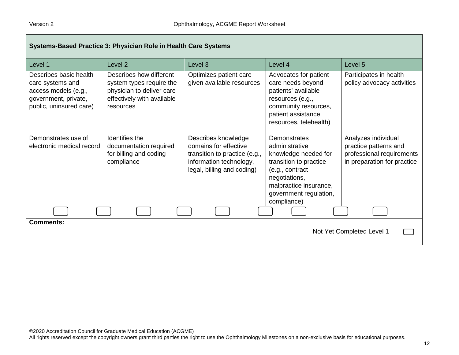| Systems-Based Practice 3: Physician Role in Health Care Systems                                                       |                                                                                                                             |                                                                                                                                        |                                                                                                                                                                                         |                                                                                                          |
|-----------------------------------------------------------------------------------------------------------------------|-----------------------------------------------------------------------------------------------------------------------------|----------------------------------------------------------------------------------------------------------------------------------------|-----------------------------------------------------------------------------------------------------------------------------------------------------------------------------------------|----------------------------------------------------------------------------------------------------------|
| Level 1                                                                                                               | Level <sub>2</sub>                                                                                                          | Level <sub>3</sub>                                                                                                                     | Level 4                                                                                                                                                                                 | Level 5                                                                                                  |
| Describes basic health<br>care systems and<br>access models (e.g.,<br>government, private,<br>public, uninsured care) | Describes how different<br>system types require the<br>physician to deliver care<br>effectively with available<br>resources | Optimizes patient care<br>given available resources                                                                                    | Advocates for patient<br>care needs beyond<br>patients' available<br>resources (e.g.,<br>community resources,<br>patient assistance<br>resources, telehealth)                           | Participates in health<br>policy advocacy activities                                                     |
| Demonstrates use of<br>electronic medical record                                                                      | Identifies the<br>documentation required<br>for billing and coding<br>compliance                                            | Describes knowledge<br>domains for effective<br>transition to practice (e.g.,<br>information technology,<br>legal, billing and coding) | Demonstrates<br>administrative<br>knowledge needed for<br>transition to practice<br>(e.g., contract<br>negotiations,<br>malpractice insurance,<br>government regulation,<br>compliance) | Analyzes individual<br>practice patterns and<br>professional requirements<br>in preparation for practice |
|                                                                                                                       |                                                                                                                             |                                                                                                                                        |                                                                                                                                                                                         |                                                                                                          |
| <b>Comments:</b><br>Not Yet Completed Level 1                                                                         |                                                                                                                             |                                                                                                                                        |                                                                                                                                                                                         |                                                                                                          |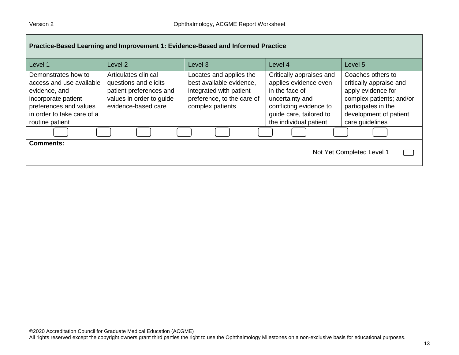| Practice-Based Learning and Improvement 1: Evidence-Based and Informed Practice                                                                                    |                                                                                                                             |                                                                                                                                  |                                                                                                                                                                        |                                                                                                                                                                    |  |
|--------------------------------------------------------------------------------------------------------------------------------------------------------------------|-----------------------------------------------------------------------------------------------------------------------------|----------------------------------------------------------------------------------------------------------------------------------|------------------------------------------------------------------------------------------------------------------------------------------------------------------------|--------------------------------------------------------------------------------------------------------------------------------------------------------------------|--|
| Level 1                                                                                                                                                            | Level 2                                                                                                                     | Level <sub>3</sub>                                                                                                               | Level 4                                                                                                                                                                | Level 5                                                                                                                                                            |  |
| Demonstrates how to<br>access and use available<br>evidence, and<br>incorporate patient<br>preferences and values<br>in order to take care of a<br>routine patient | Articulates clinical<br>questions and elicits<br>patient preferences and<br>values in order to guide<br>evidence-based care | Locates and applies the<br>best available evidence,<br>integrated with patient<br>preference, to the care of<br>complex patients | Critically appraises and<br>applies evidence even<br>in the face of<br>uncertainty and<br>conflicting evidence to<br>guide care, tailored to<br>the individual patient | Coaches others to<br>critically appraise and<br>apply evidence for<br>complex patients; and/or<br>participates in the<br>development of patient<br>care guidelines |  |
|                                                                                                                                                                    |                                                                                                                             |                                                                                                                                  |                                                                                                                                                                        |                                                                                                                                                                    |  |
| <b>Comments:</b><br>Not Yet Completed Level 1                                                                                                                      |                                                                                                                             |                                                                                                                                  |                                                                                                                                                                        |                                                                                                                                                                    |  |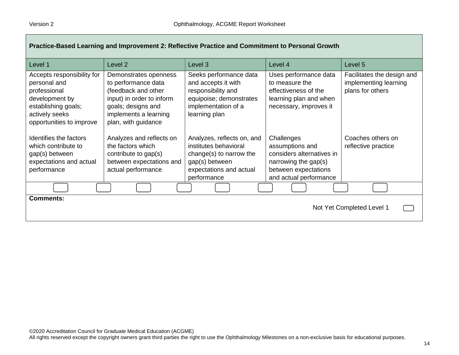| Practice-Based Learning and Improvement 2: Reflective Practice and Commitment to Personal Growth                                                  |                                                                                                                                                                        |                                                                                                                                            |                                                                                                                                      |                                                                         |
|---------------------------------------------------------------------------------------------------------------------------------------------------|------------------------------------------------------------------------------------------------------------------------------------------------------------------------|--------------------------------------------------------------------------------------------------------------------------------------------|--------------------------------------------------------------------------------------------------------------------------------------|-------------------------------------------------------------------------|
| Level 1                                                                                                                                           | Level <sub>2</sub>                                                                                                                                                     | Level 3                                                                                                                                    | Level 4                                                                                                                              | Level 5                                                                 |
| Accepts responsibility for<br>personal and<br>professional<br>development by<br>establishing goals;<br>actively seeks<br>opportunities to improve | Demonstrates openness<br>to performance data<br>(feedback and other<br>input) in order to inform<br>goals; designs and<br>implements a learning<br>plan, with guidance | Seeks performance data<br>and accepts it with<br>responsibility and<br>equipoise; demonstrates<br>implementation of a<br>learning plan     | Uses performance data<br>to measure the<br>effectiveness of the<br>learning plan and when<br>necessary, improves it                  | Facilitates the design and<br>implementing learning<br>plans for others |
| Identifies the factors<br>which contribute to<br>gap(s) between<br>expectations and actual<br>performance                                         | Analyzes and reflects on<br>the factors which<br>contribute to gap(s)<br>between expectations and<br>actual performance                                                | Analyzes, reflects on, and<br>institutes behavioral<br>change(s) to narrow the<br>gap(s) between<br>expectations and actual<br>performance | Challenges<br>assumptions and<br>considers alternatives in<br>narrowing the gap(s)<br>between expectations<br>and actual performance | Coaches others on<br>reflective practice                                |
|                                                                                                                                                   |                                                                                                                                                                        |                                                                                                                                            |                                                                                                                                      |                                                                         |
| <b>Comments:</b><br>Not Yet Completed Level 1                                                                                                     |                                                                                                                                                                        |                                                                                                                                            |                                                                                                                                      |                                                                         |

J.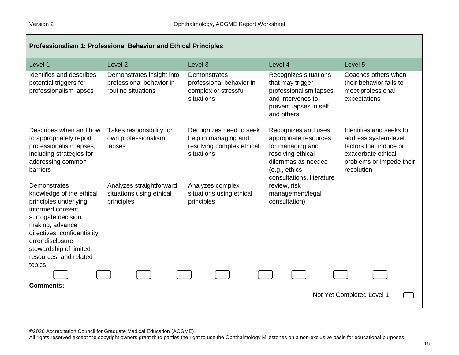| Professionalism 1: Professional Behavior and Ethical Principles                                                                                                                                                                                    |                                                                             |                                                                                            |                                                                                                                                                           |                                                                                                                                           |
|----------------------------------------------------------------------------------------------------------------------------------------------------------------------------------------------------------------------------------------------------|-----------------------------------------------------------------------------|--------------------------------------------------------------------------------------------|-----------------------------------------------------------------------------------------------------------------------------------------------------------|-------------------------------------------------------------------------------------------------------------------------------------------|
| Level 1                                                                                                                                                                                                                                            | Level <sub>2</sub>                                                          | Level 3                                                                                    | Level 4                                                                                                                                                   | Level 5                                                                                                                                   |
| Identifies and describes<br>potential triggers for<br>professionalism lapses                                                                                                                                                                       | Demonstrates insight into<br>professional behavior in<br>routine situations | Demonstrates<br>professional behavior in<br>complex or stressful<br>situations             | Recognizes situations<br>that may trigger<br>professionalism lapses<br>and intervenes to<br>prevent lapses in self<br>and others                          | Coaches others when<br>their behavior fails to<br>meet professional<br>expectations                                                       |
| Describes when and how<br>to appropriately report<br>professionalism lapses,<br>including strategies for<br>addressing common<br>barriers                                                                                                          | Takes responsibility for<br>own professionalism<br>lapses                   | Recognizes need to seek<br>help in managing and<br>resolving complex ethical<br>situations | Recognizes and uses<br>appropriate resources<br>for managing and<br>resolving ethical<br>dilemmas as needed<br>(e.g., ethics<br>consultations, literature | Identifies and seeks to<br>address system-level<br>factors that induce or<br>exacerbate ethical<br>problems or impede their<br>resolution |
| Demonstrates<br>knowledge of the ethical<br>principles underlying<br>informed consent,<br>surrogate decision<br>making, advance<br>directives, confidentiality,<br>error disclosure.<br>stewardship of limited<br>resources, and related<br>topics | Analyzes straightforward<br>situations using ethical<br>principles          | Analyzes complex<br>situations using ethical<br>principles                                 | review, risk<br>management/legal<br>consultation)                                                                                                         |                                                                                                                                           |
|                                                                                                                                                                                                                                                    |                                                                             |                                                                                            |                                                                                                                                                           |                                                                                                                                           |
| <b>Comments:</b><br>Not Yet Completed Level 1                                                                                                                                                                                                      |                                                                             |                                                                                            |                                                                                                                                                           |                                                                                                                                           |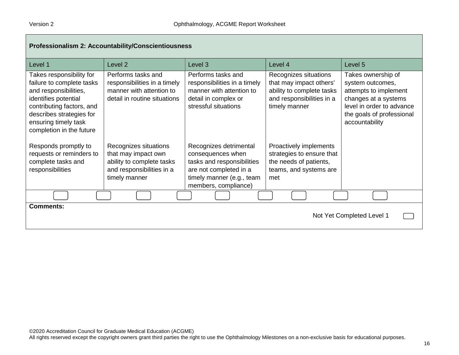| Professionalism 2: Accountability/Conscientiousness                                                                                                                                                                 |                                                                                                                         |                                                                                                                                                          |                                                                                                                             |                                                                                                                                                                     |
|---------------------------------------------------------------------------------------------------------------------------------------------------------------------------------------------------------------------|-------------------------------------------------------------------------------------------------------------------------|----------------------------------------------------------------------------------------------------------------------------------------------------------|-----------------------------------------------------------------------------------------------------------------------------|---------------------------------------------------------------------------------------------------------------------------------------------------------------------|
| Level 1                                                                                                                                                                                                             | Level 2                                                                                                                 | Level 3                                                                                                                                                  | Level 4                                                                                                                     | Level 5                                                                                                                                                             |
| Takes responsibility for<br>failure to complete tasks<br>and responsibilities,<br>identifies potential<br>contributing factors, and<br>describes strategies for<br>ensuring timely task<br>completion in the future | Performs tasks and<br>responsibilities in a timely<br>manner with attention to<br>detail in routine situations          | Performs tasks and<br>responsibilities in a timely<br>manner with attention to<br>detail in complex or<br>stressful situations                           | Recognizes situations<br>that may impact others'<br>ability to complete tasks<br>and responsibilities in a<br>timely manner | Takes ownership of<br>system outcomes,<br>attempts to implement<br>changes at a systems<br>level in order to advance<br>the goals of professional<br>accountability |
| Responds promptly to<br>requests or reminders to<br>complete tasks and<br>responsibilities                                                                                                                          | Recognizes situations<br>that may impact own<br>ability to complete tasks<br>and responsibilities in a<br>timely manner | Recognizes detrimental<br>consequences when<br>tasks and responsibilities<br>are not completed in a<br>timely manner (e.g., team<br>members, compliance) | Proactively implements<br>strategies to ensure that<br>the needs of patients,<br>teams, and systems are<br>met              |                                                                                                                                                                     |
|                                                                                                                                                                                                                     |                                                                                                                         |                                                                                                                                                          |                                                                                                                             |                                                                                                                                                                     |
| <b>Comments:</b><br>Not Yet Completed Level 1                                                                                                                                                                       |                                                                                                                         |                                                                                                                                                          |                                                                                                                             |                                                                                                                                                                     |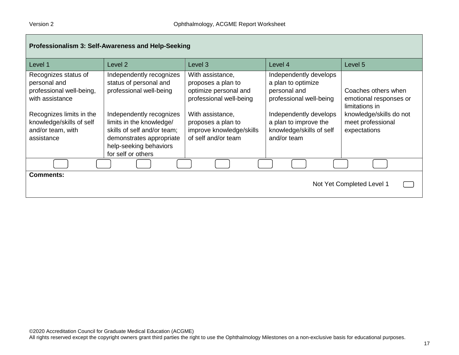| Professionalism 3: Self-Awareness and Help-Seeking                                                                                                                             |                                                                                                                                                                                                                                                  |                                                                                                                                                                                         |                                                                                                                                                                                       |                                                                                                                                 |  |
|--------------------------------------------------------------------------------------------------------------------------------------------------------------------------------|--------------------------------------------------------------------------------------------------------------------------------------------------------------------------------------------------------------------------------------------------|-----------------------------------------------------------------------------------------------------------------------------------------------------------------------------------------|---------------------------------------------------------------------------------------------------------------------------------------------------------------------------------------|---------------------------------------------------------------------------------------------------------------------------------|--|
| Level 1                                                                                                                                                                        | Level 2                                                                                                                                                                                                                                          | Level 3                                                                                                                                                                                 | Level 4                                                                                                                                                                               | Level 5                                                                                                                         |  |
| Recognizes status of<br>personal and<br>professional well-being,<br>with assistance<br>Recognizes limits in the<br>knowledge/skills of self<br>and/or team, with<br>assistance | Independently recognizes<br>status of personal and<br>professional well-being<br>Independently recognizes<br>limits in the knowledge/<br>skills of self and/or team;<br>demonstrates appropriate<br>help-seeking behaviors<br>for self or others | With assistance,<br>proposes a plan to<br>optimize personal and<br>professional well-being<br>With assistance,<br>proposes a plan to<br>improve knowledge/skills<br>of self and/or team | Independently develops<br>a plan to optimize<br>personal and<br>professional well-being<br>Independently develops<br>a plan to improve the<br>knowledge/skills of self<br>and/or team | Coaches others when<br>emotional responses or<br>limitations in<br>knowledge/skills do not<br>meet professional<br>expectations |  |
|                                                                                                                                                                                |                                                                                                                                                                                                                                                  |                                                                                                                                                                                         |                                                                                                                                                                                       |                                                                                                                                 |  |
| <b>Comments:</b><br>Not Yet Completed Level 1                                                                                                                                  |                                                                                                                                                                                                                                                  |                                                                                                                                                                                         |                                                                                                                                                                                       |                                                                                                                                 |  |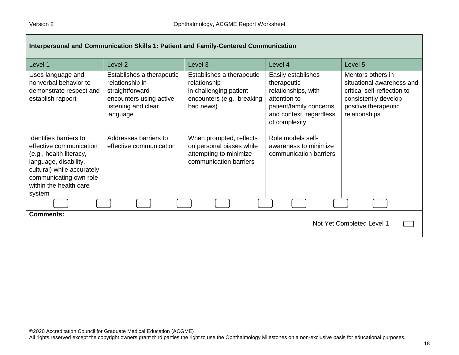| Interpersonal and Communication Skills 1: Patient and Family-Centered Communication                                                                                                               |                                                                                                                               |                                                                                                                |                                                                                                                                                 |                                                                                                                                                |
|---------------------------------------------------------------------------------------------------------------------------------------------------------------------------------------------------|-------------------------------------------------------------------------------------------------------------------------------|----------------------------------------------------------------------------------------------------------------|-------------------------------------------------------------------------------------------------------------------------------------------------|------------------------------------------------------------------------------------------------------------------------------------------------|
| Level 1                                                                                                                                                                                           | Level <sub>2</sub>                                                                                                            | Level 3                                                                                                        | Level 4                                                                                                                                         | Level 5                                                                                                                                        |
| Uses language and<br>nonverbal behavior to<br>demonstrate respect and<br>establish rapport                                                                                                        | Establishes a therapeutic<br>relationship in<br>straightforward<br>encounters using active<br>listening and clear<br>language | Establishes a therapeutic<br>relationship<br>in challenging patient<br>encounters (e.g., breaking<br>bad news) | Easily establishes<br>therapeutic<br>relationships, with<br>attention to<br>patient/family concerns<br>and context, regardless<br>of complexity | Mentors others in<br>situational awareness and<br>critical self-reflection to<br>consistently develop<br>positive therapeutic<br>relationships |
| Identifies barriers to<br>effective communication<br>(e.g., health literacy,<br>language, disability,<br>cultural) while accurately<br>communicating own role<br>within the health care<br>system | Addresses barriers to<br>effective communication                                                                              | When prompted, reflects<br>on personal biases while<br>attempting to minimize<br>communication barriers        | Role models self-<br>awareness to minimize<br>communication barriers                                                                            |                                                                                                                                                |
|                                                                                                                                                                                                   |                                                                                                                               |                                                                                                                |                                                                                                                                                 |                                                                                                                                                |
| <b>Comments:</b><br>Not Yet Completed Level 1                                                                                                                                                     |                                                                                                                               |                                                                                                                |                                                                                                                                                 |                                                                                                                                                |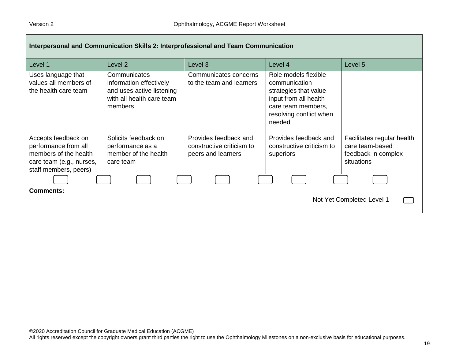| Interpersonal and Communication Skills 2: Interprofessional and Team Communication                                        |                                                                                                              |                                                                          |                                                                                                                                                    |                                                                                    |
|---------------------------------------------------------------------------------------------------------------------------|--------------------------------------------------------------------------------------------------------------|--------------------------------------------------------------------------|----------------------------------------------------------------------------------------------------------------------------------------------------|------------------------------------------------------------------------------------|
| Level 1                                                                                                                   | Level 2                                                                                                      | Level 3                                                                  | Level 4                                                                                                                                            | Level 5                                                                            |
| Uses language that<br>values all members of<br>the health care team                                                       | Communicates<br>information effectively<br>and uses active listening<br>with all health care team<br>members | Communicates concerns<br>to the team and learners                        | Role models flexible<br>communication<br>strategies that value<br>input from all health<br>care team members,<br>resolving conflict when<br>needed |                                                                                    |
| Accepts feedback on<br>performance from all<br>members of the health<br>care team (e.g., nurses,<br>staff members, peers) | Solicits feedback on<br>performance as a<br>member of the health<br>care team                                | Provides feedback and<br>constructive criticism to<br>peers and learners | Provides feedback and<br>constructive criticism to<br>superiors                                                                                    | Facilitates regular health<br>care team-based<br>feedback in complex<br>situations |
|                                                                                                                           |                                                                                                              |                                                                          |                                                                                                                                                    |                                                                                    |
| <b>Comments:</b><br>Not Yet Completed Level 1                                                                             |                                                                                                              |                                                                          |                                                                                                                                                    |                                                                                    |